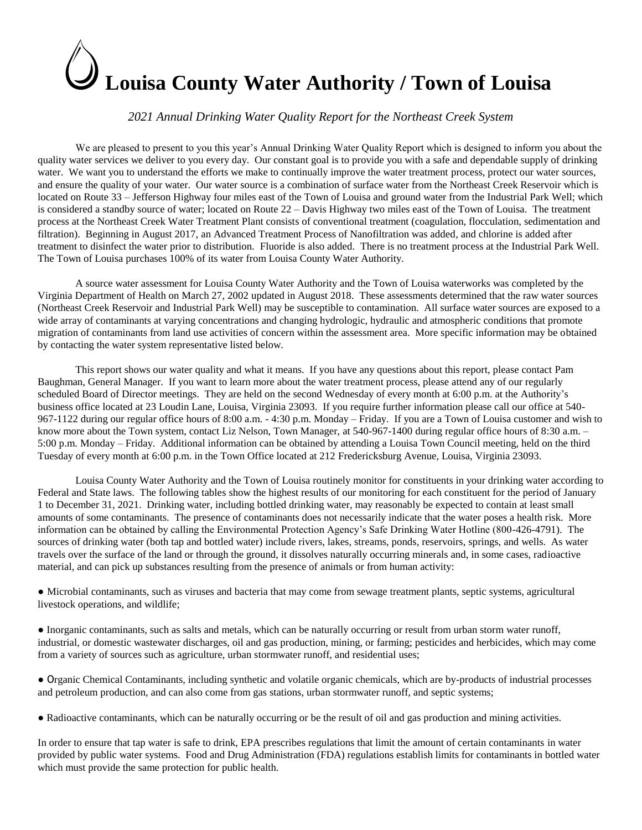# **Louisa County Water Authority / Town of Louisa**

# *2021 Annual Drinking Water Quality Report for the Northeast Creek System*

We are pleased to present to you this year's Annual Drinking Water Quality Report which is designed to inform you about the quality water services we deliver to you every day. Our constant goal is to provide you with a safe and dependable supply of drinking water. We want you to understand the efforts we make to continually improve the water treatment process, protect our water sources, and ensure the quality of your water. Our water source is a combination of surface water from the Northeast Creek Reservoir which is located on Route 33 – Jefferson Highway four miles east of the Town of Louisa and ground water from the Industrial Park Well; which is considered a standby source of water; located on Route 22 – Davis Highway two miles east of the Town of Louisa. The treatment process at the Northeast Creek Water Treatment Plant consists of conventional treatment (coagulation, flocculation, sedimentation and filtration). Beginning in August 2017, an Advanced Treatment Process of Nanofiltration was added, and chlorine is added after treatment to disinfect the water prior to distribution. Fluoride is also added. There is no treatment process at the Industrial Park Well. The Town of Louisa purchases 100% of its water from Louisa County Water Authority.

 A source water assessment for Louisa County Water Authority and the Town of Louisa waterworks was completed by the Virginia Department of Health on March 27, 2002 updated in August 2018. These assessments determined that the raw water sources (Northeast Creek Reservoir and Industrial Park Well) may be susceptible to contamination. All surface water sources are exposed to a wide array of contaminants at varying concentrations and changing hydrologic, hydraulic and atmospheric conditions that promote migration of contaminants from land use activities of concern within the assessment area. More specific information may be obtained by contacting the water system representative listed below.

This report shows our water quality and what it means. If you have any questions about this report, please contact Pam Baughman, General Manager. If you want to learn more about the water treatment process, please attend any of our regularly scheduled Board of Director meetings. They are held on the second Wednesday of every month at 6:00 p.m. at the Authority's business office located at 23 Loudin Lane, Louisa, Virginia 23093. If you require further information please call our office at 540- 967-1122 during our regular office hours of 8:00 a.m. - 4:30 p.m. Monday – Friday. If you are a Town of Louisa customer and wish to know more about the Town system, contact Liz Nelson, Town Manager, at 540-967-1400 during regular office hours of 8:30 a.m. – 5:00 p.m. Monday – Friday. Additional information can be obtained by attending a Louisa Town Council meeting, held on the third Tuesday of every month at 6:00 p.m. in the Town Office located at 212 Fredericksburg Avenue, Louisa, Virginia 23093.

Louisa County Water Authority and the Town of Louisa routinely monitor for constituents in your drinking water according to Federal and State laws. The following tables show the highest results of our monitoring for each constituent for the period of January 1 to December 31, 2021. Drinking water, including bottled drinking water, may reasonably be expected to contain at least small amounts of some contaminants. The presence of contaminants does not necessarily indicate that the water poses a health risk. More information can be obtained by calling the Environmental Protection Agency's Safe Drinking Water Hotline (800-426-4791). The sources of drinking water (both tap and bottled water) include rivers, lakes, streams, ponds, reservoirs, springs, and wells. As water travels over the surface of the land or through the ground, it dissolves naturally occurring minerals and, in some cases, radioactive material, and can pick up substances resulting from the presence of animals or from human activity:

● Microbial contaminants, such as viruses and bacteria that may come from sewage treatment plants, septic systems, agricultural livestock operations, and wildlife;

● Inorganic contaminants, such as salts and metals, which can be naturally occurring or result from urban storm water runoff, industrial, or domestic wastewater discharges, oil and gas production, mining, or farming; pesticides and herbicides, which may come from a variety of sources such as agriculture, urban stormwater runoff, and residential uses;

● Organic Chemical Contaminants, including synthetic and volatile organic chemicals, which are by-products of industrial processes and petroleum production, and can also come from gas stations, urban stormwater runoff, and septic systems;

● Radioactive contaminants, which can be naturally occurring or be the result of oil and gas production and mining activities.

In order to ensure that tap water is safe to drink, EPA prescribes regulations that limit the amount of certain contaminants in water provided by public water systems. Food and Drug Administration (FDA) regulations establish limits for contaminants in bottled water which must provide the same protection for public health.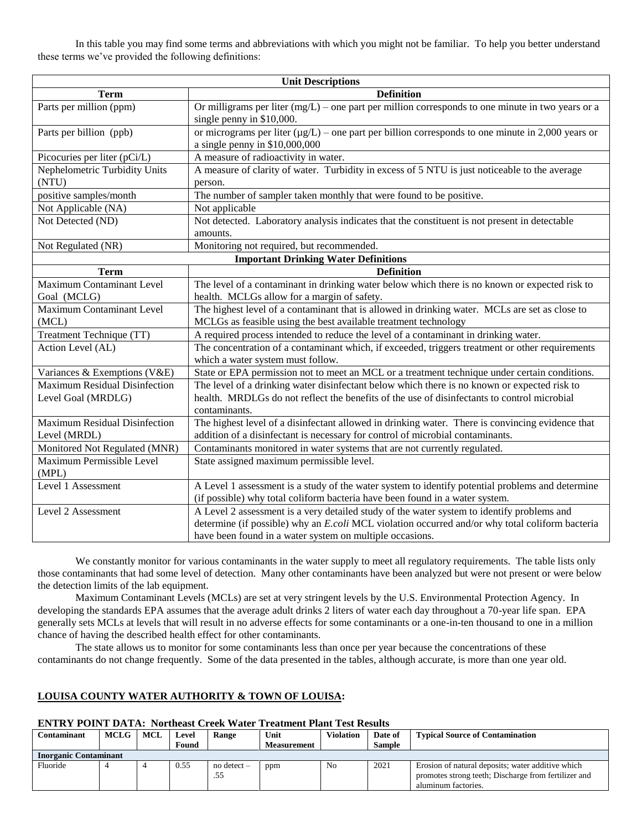In this table you may find some terms and abbreviations with which you might not be familiar. To help you better understand these terms we've provided the following definitions:

|                                                     | <b>Unit Descriptions</b>                                                                                                                                                                                     |
|-----------------------------------------------------|--------------------------------------------------------------------------------------------------------------------------------------------------------------------------------------------------------------|
| <b>Term</b>                                         | <b>Definition</b>                                                                                                                                                                                            |
| Parts per million (ppm)                             | Or milligrams per liter $(mg/L)$ – one part per million corresponds to one minute in two years or a<br>single penny in \$10,000.                                                                             |
| Parts per billion (ppb)                             | or micrograms per liter $(\mu g/L)$ – one part per billion corresponds to one minute in 2,000 years or<br>a single penny in \$10,000,000                                                                     |
| Picocuries per liter (pCi/L)                        | A measure of radioactivity in water.                                                                                                                                                                         |
| Nephelometric Turbidity Units<br>(NTU)              | A measure of clarity of water. Turbidity in excess of 5 NTU is just noticeable to the average<br>person.                                                                                                     |
| positive samples/month                              | The number of sampler taken monthly that were found to be positive.                                                                                                                                          |
| Not Applicable (NA)                                 | Not applicable                                                                                                                                                                                               |
| Not Detected (ND)                                   | Not detected. Laboratory analysis indicates that the constituent is not present in detectable<br>amounts.                                                                                                    |
| Not Regulated (NR)                                  | Monitoring not required, but recommended.                                                                                                                                                                    |
|                                                     | <b>Important Drinking Water Definitions</b>                                                                                                                                                                  |
| <b>Term</b>                                         | <b>Definition</b>                                                                                                                                                                                            |
| <b>Maximum Contaminant Level</b>                    | The level of a contaminant in drinking water below which there is no known or expected risk to                                                                                                               |
| Goal (MCLG)                                         | health. MCLGs allow for a margin of safety.                                                                                                                                                                  |
| <b>Maximum Contaminant Level</b>                    | The highest level of a contaminant that is allowed in drinking water. MCLs are set as close to                                                                                                               |
| (MCL)                                               | MCLGs as feasible using the best available treatment technology                                                                                                                                              |
| Treatment Technique (TT)                            | A required process intended to reduce the level of a contaminant in drinking water.                                                                                                                          |
| Action Level (AL)                                   | The concentration of a contaminant which, if exceeded, triggers treatment or other requirements<br>which a water system must follow.                                                                         |
| Variances & Exemptions (V&E)                        | State or EPA permission not to meet an MCL or a treatment technique under certain conditions.                                                                                                                |
| Maximum Residual Disinfection<br>Level Goal (MRDLG) | The level of a drinking water disinfectant below which there is no known or expected risk to<br>health. MRDLGs do not reflect the benefits of the use of disinfectants to control microbial<br>contaminants. |
| <b>Maximum Residual Disinfection</b>                | The highest level of a disinfectant allowed in drinking water. There is convincing evidence that                                                                                                             |
| Level (MRDL)                                        | addition of a disinfectant is necessary for control of microbial contaminants.                                                                                                                               |
| Monitored Not Regulated (MNR)                       | Contaminants monitored in water systems that are not currently regulated.                                                                                                                                    |
| Maximum Permissible Level<br>(MPL)                  | State assigned maximum permissible level.                                                                                                                                                                    |
| Level 1 Assessment                                  | A Level 1 assessment is a study of the water system to identify potential problems and determine<br>(if possible) why total coliform bacteria have been found in a water system.                             |
| Level 2 Assessment                                  | A Level 2 assessment is a very detailed study of the water system to identify problems and                                                                                                                   |
|                                                     | determine (if possible) why an E.coli MCL violation occurred and/or why total coliform bacteria                                                                                                              |
|                                                     | have been found in a water system on multiple occasions.                                                                                                                                                     |

We constantly monitor for various contaminants in the water supply to meet all regulatory requirements. The table lists only those contaminants that had some level of detection. Many other contaminants have been analyzed but were not present or were below the detection limits of the lab equipment.

Maximum Contaminant Levels (MCLs) are set at very stringent levels by the U.S. Environmental Protection Agency. In developing the standards EPA assumes that the average adult drinks 2 liters of water each day throughout a 70-year life span. EPA generally sets MCLs at levels that will result in no adverse effects for some contaminants or a one-in-ten thousand to one in a million chance of having the described health effect for other contaminants.

The state allows us to monitor for some contaminants less than once per year because the concentrations of these contaminants do not change frequently. Some of the data presented in the tables, although accurate, is more than one year old.

# **LOUISA COUNTY WATER AUTHORITY & TOWN OF LOUISA:**

### **ENTRY POINT DATA: Northeast Creek Water Treatment Plant Test Results**

| Contaminant                  | <b>MCLG</b> | <b>MCL</b> | Level | <b>Range</b>    | Unit               | Violation | Date of | <b>Typical Source of Contamination</b>               |
|------------------------------|-------------|------------|-------|-----------------|--------------------|-----------|---------|------------------------------------------------------|
|                              |             |            | Found |                 | <b>Measurement</b> |           | Sample  |                                                      |
| <b>Inorganic Contaminant</b> |             |            |       |                 |                    |           |         |                                                      |
| Fluoride                     |             |            | 0.55  | $no$ detect $-$ | ppm                | No        | 2021    | Erosion of natural deposits; water additive which    |
|                              |             |            |       | .55             |                    |           |         | promotes strong teeth; Discharge from fertilizer and |
|                              |             |            |       |                 |                    |           |         | aluminum factories.                                  |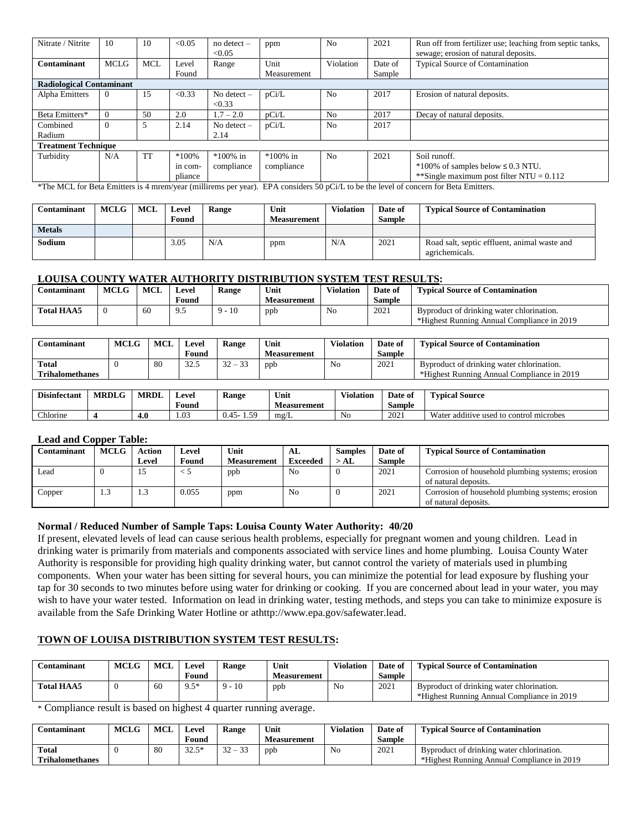| Nitrate / Nitrite               | 10          | 10         | < 0.05   | $no$ detect $-$<br>< 0.05 | ppm         | N <sub>0</sub> | 2021    | Run off from fertilizer use; leaching from septic tanks,<br>sewage; erosion of natural deposits. |
|---------------------------------|-------------|------------|----------|---------------------------|-------------|----------------|---------|--------------------------------------------------------------------------------------------------|
| Contaminant                     | <b>MCLG</b> | <b>MCL</b> | Level    | Range                     | Unit        | Violation      | Date of | <b>Typical Source of Contamination</b>                                                           |
|                                 |             |            | Found    |                           | Measurement |                | Sample  |                                                                                                  |
| <b>Radiological Contaminant</b> |             |            |          |                           |             |                |         |                                                                                                  |
| Alpha Emitters                  | $\Omega$    | 15         | < 0.33   | No detect $-$<br>< 0.33   | pCi/L       | N <sub>0</sub> | 2017    | Erosion of natural deposits.                                                                     |
| Beta Emitters*                  |             | 50         | 2.0      | $1.7 - 2.0$               | pCi/L       | N <sub>0</sub> | 2017    | Decay of natural deposits.                                                                       |
| Combined                        |             | 5          | 2.14     | No detect $-$             | pCi/L       | N <sub>0</sub> | 2017    |                                                                                                  |
| Radium                          |             |            |          | 2.14                      |             |                |         |                                                                                                  |
| <b>Treatment Technique</b>      |             |            |          |                           |             |                |         |                                                                                                  |
| Turbidity                       | N/A         | <b>TT</b>  | $*100\%$ | $*100\%$ in               | $*100\%$ in | No             | 2021    | Soil runoff.                                                                                     |
|                                 |             |            | in com-  | compliance                | compliance  |                |         | $*100\%$ of samples below $\leq 0.3$ NTU.                                                        |
|                                 |             |            | pliance  |                           |             |                |         | **Single maximum post filter NTU = $0.112$                                                       |

\*The MCL for Beta Emitters is 4 mrem/year (millirems per year). EPA considers 50 pCi/L to be the level of concern for Beta Emitters.

| Contaminant   | <b>MCLG</b> | MCL | Level<br>Found | Range | Unit<br><b>Measurement</b> | <b>Violation</b> | Date of<br>Sample | <b>Typical Source of Contamination</b>                         |
|---------------|-------------|-----|----------------|-------|----------------------------|------------------|-------------------|----------------------------------------------------------------|
| <b>Metals</b> |             |     |                |       |                            |                  |                   |                                                                |
| Sodium        |             |     | 3.05           | N/A   | ppm                        | N/A              | 2021              | Road salt, septic effluent, animal waste and<br>agrichemicals. |

# **LOUISA COUNTY WATER AUTHORITY DISTRIBUTION SYSTEM TEST RESULTS:**

| :\ontaminant      | <b>MCLG</b> | MCI | Level | <b>Range</b> | Unit        | Violation | Date of | <b>Fypical Source of Contamination</b>        |
|-------------------|-------------|-----|-------|--------------|-------------|-----------|---------|-----------------------------------------------|
|                   |             |     | Found |              | Measurement |           | Sample  |                                               |
| <b>Total HAA5</b> |             | 60  |       | $-10$        | ppb<br>**   | No        | 2021    | Byproduct of drinking water chlorination.     |
|                   |             |     |       |              |             |           |         | *Highest Running<br>Annual Compliance in 2019 |

| Found<br><b>Sample</b><br>Measurement<br><b>Total</b><br>$\sim$                              |  |
|----------------------------------------------------------------------------------------------|--|
|                                                                                              |  |
| 2021<br>80<br>32<br>32.5<br>No<br>Byproduct of drinking water chlorination.<br>ppb<br>$\sim$ |  |
| <b>Trihalomethanes</b><br>*Highest Running Annual Compliance in 2019                         |  |

| $\cdots$<br><b>Disinfectant</b> | <b>MRDLG</b> | <b>MRDL</b> | ⊥evel          | $\sim$<br><b>Range</b> | $T$ $T$<br>Unit | $T = 1$<br><i>l</i> olation | Date of | <b>CONTRACTOR</b><br>$\sim$<br><b>Typical Source</b> |
|---------------------------------|--------------|-------------|----------------|------------------------|-----------------|-----------------------------|---------|------------------------------------------------------|
|                                 |              |             | Found          |                        | Measurement     |                             | Sample  |                                                      |
| $\sim$ 1<br>hlorine.            |              | 4.0         | $\sim$<br>1.VJ | 50<br>າ -<br>`<br>∪.⊤J | mg/L            | No                          | 2021    | Water additive used to control microbes              |

### **Lead and Copper Table:**

| Contaminant | <b>MCLG</b> | <b>Action</b> | Level | Unit               | AL             | <b>Samples</b> | Date of       | <b>Typical Source of Contamination</b>           |
|-------------|-------------|---------------|-------|--------------------|----------------|----------------|---------------|--------------------------------------------------|
|             |             | Level         | Found | <b>Measurement</b> | Exceeded       | $>$ AL         | <b>Sample</b> |                                                  |
| Lead        |             | 15            |       | ppb                | N <sub>0</sub> |                | 2021          | Corrosion of household plumbing systems; erosion |
|             |             |               |       |                    |                |                |               | of natural deposits.                             |
| Copper      | 1.0         | 1.3           | 0.055 | ppm                | N <sub>0</sub> |                | 2021          | Corrosion of household plumbing systems; erosion |
|             |             |               |       |                    |                |                |               | of natural deposits.                             |

# **Normal / Reduced Number of Sample Taps: Louisa County Water Authority: 40/20**

If present, elevated levels of lead can cause serious health problems, especially for pregnant women and young children. Lead in drinking water is primarily from materials and components associated with service lines and home plumbing. Louisa County Water Authority is responsible for providing high quality drinking water, but cannot control the variety of materials used in plumbing components. When your water has been sitting for several hours, you can minimize the potential for lead exposure by flushing your tap for 30 seconds to two minutes before using water for drinking or cooking. If you are concerned about lead in your water, you may wish to have your water tested. Information on lead in drinking water, testing methods, and steps you can take to minimize exposure is available from the Safe Drinking Water Hotline or a[thttp://www.epa.gov/safewater.lead.](http://www.epa.gov/safewater.lead)

# **TOWN OF LOUISA DISTRIBUTION SYSTEM TEST RESULTS:**

| <b>Contaminant</b> | <b>MCLG</b> | MCI | Level<br>Found | <b>Range</b>      | Unit<br>Measurement | <b>Violation</b> | Date of<br><b>Sample</b> | <b>Typical Source of Contamination</b>                                                  |
|--------------------|-------------|-----|----------------|-------------------|---------------------|------------------|--------------------------|-----------------------------------------------------------------------------------------|
| <b>Total HAA5</b>  |             | 60  | $Q*$<br>       | $-10$<br>$\Omega$ | ppb                 | No               | 2021                     | Byproduct of drinking water chlorination.<br>*Highest Running Annual Compliance in 2019 |

\* Compliance result is based on highest 4 quarter running average.

|              | <b>Contaminant</b> | <b>MCLG</b> | <b>MCL</b> | Level            | Range                      | Unit        | <b>Violation</b> | Date of | <b>Typical Source of Contamination</b>     |
|--------------|--------------------|-------------|------------|------------------|----------------------------|-------------|------------------|---------|--------------------------------------------|
|              |                    |             |            | Found            |                            | Measurement |                  | Sample  |                                            |
| <b>Total</b> |                    |             | 80         | $22.5*$<br>ر ے ر | $\sim$<br>$\sim$<br>$\sim$ | ppt         | No               | 2021    | Byproduct of drinking water chlorination.  |
|              | Trihalomethanes    |             |            |                  |                            |             |                  |         | *Highest Running Annual Compliance in 2019 |